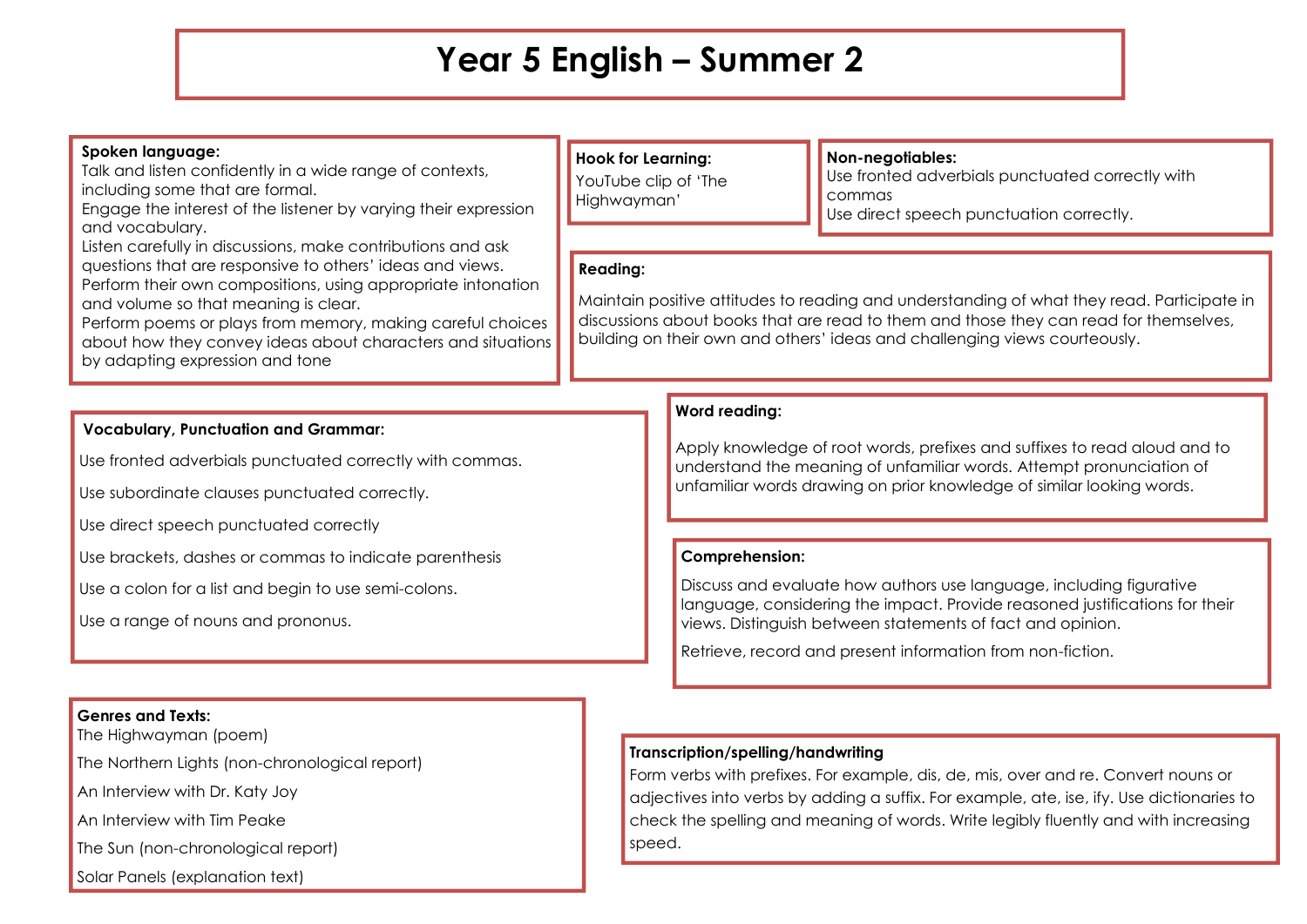## **Year 5 English – Summer 2**

#### **Spoken language:**

Talk and listen confidently in a wide range of contexts, including some that are formal.

Engage the interest of the listener by varying their expression and vocabulary.

Listen carefully in discussions, make contributions and ask questions that are responsive to others' ideas and views. Perform their own compositions, using appropriate intonation and volume so that meaning is clear.

Perform poems or plays from memory, making careful choices about how they convey ideas about characters and situations by adapting expression and tone

### **Hook for Learning:**

YouTube clip of 'The Highwayman'

#### **Non-negotiables:**

Use fronted adverbials punctuated correctly with commas Use direct speech punctuation correctly.

#### **Reading:**

Maintain positive attitudes to reading and understanding of what they read. Participate in discussions about books that are read to them and those they can read for themselves, building on their own and others' ideas and challenging views courteously.

#### **Vocabulary, Punctuation and Grammar:**

Use fronted adverbials punctuated correctly with commas.

Use subordinate clauses punctuated correctly.

Use direct speech punctuated correctly

Use brackets, dashes or commas to indicate parenthesis

Use a colon for a list and begin to use semi-colons.

Use a range of nouns and prononus.

#### **Genres and Texts:**

The Highwayman (poem)

The Northern Lights (non-chronological report)

An Interview with Dr. Katy Joy

An Interview with Tim Peake

The Sun (non-chronological report)

Solar Panels (explanation text)

#### **Word reading:**

Apply knowledge of root words, prefixes and suffixes to read aloud and to understand the meaning of unfamiliar words. Attempt pronunciation of unfamiliar words drawing on prior knowledge of similar looking words.

#### **Comprehension:**

Discuss and evaluate how authors use language, including figurative language, considering the impact. Provide reasoned justifications for their views. Distinguish between statements of fact and opinion.

Retrieve, record and present information from non-fiction.

#### **Transcription/spelling/handwriting**

Form verbs with prefixes. For example, dis, de, mis, over and re. Convert nouns or adjectives into verbs by adding a suffix. For example, ate, ise, ify. Use dictionaries to check the spelling and meaning of words. Write legibly fluently and with increasing speed.